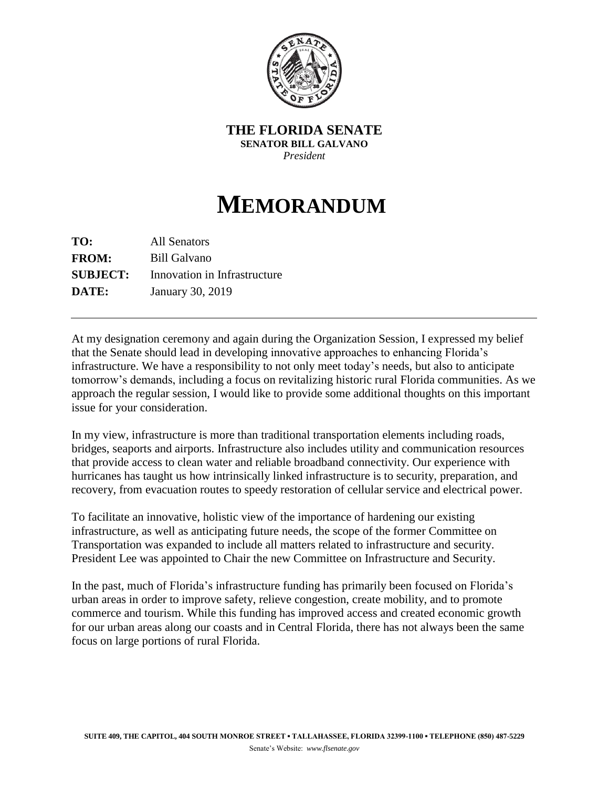

**THE FLORIDA SENATE SENATOR BILL GALVANO** *President* 

## **MEMORANDUM**

**TO:** All Senators **FROM:** Bill Galvano **SUBJECT:** Innovation in Infrastructure **DATE:** January 30, 2019

At my designation ceremony and again during the Organization Session, I expressed my belief that the Senate should lead in developing innovative approaches to enhancing Florida's infrastructure. We have a responsibility to not only meet today's needs, but also to anticipate tomorrow's demands, including a focus on revitalizing historic rural Florida communities. As we approach the regular session, I would like to provide some additional thoughts on this important issue for your consideration.

In my view, infrastructure is more than traditional transportation elements including roads, bridges, seaports and airports. Infrastructure also includes utility and communication resources that provide access to clean water and reliable broadband connectivity. Our experience with hurricanes has taught us how intrinsically linked infrastructure is to security, preparation, and recovery, from evacuation routes to speedy restoration of cellular service and electrical power.

To facilitate an innovative, holistic view of the importance of hardening our existing infrastructure, as well as anticipating future needs, the scope of the former Committee on Transportation was expanded to include all matters related to infrastructure and security. President Lee was appointed to Chair the new Committee on Infrastructure and Security.

In the past, much of Florida's infrastructure funding has primarily been focused on Florida's urban areas in order to improve safety, relieve congestion, create mobility, and to promote commerce and tourism. While this funding has improved access and created economic growth for our urban areas along our coasts and in Central Florida, there has not always been the same focus on large portions of rural Florida.